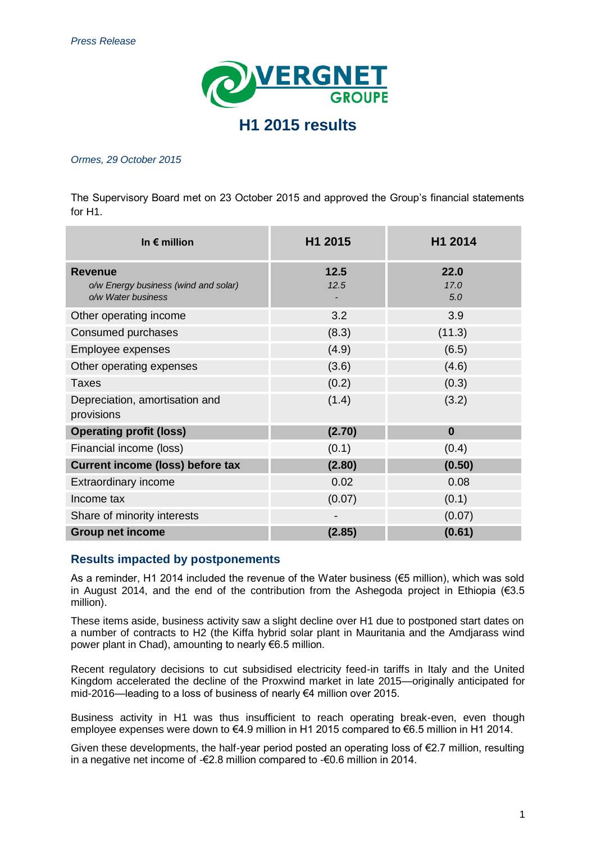

#### *Ormes, 29 October 2015*

The Supervisory Board met on 23 October 2015 and approved the Group's financial statements for H1.

| In $\epsilon$ million                                                        | H1 2015      | H1 2014             |
|------------------------------------------------------------------------------|--------------|---------------------|
| <b>Revenue</b><br>o/w Energy business (wind and solar)<br>o/w Water business | 12.5<br>12.5 | 22.0<br>17.0<br>5.0 |
| Other operating income                                                       | 3.2          | 3.9                 |
| Consumed purchases                                                           | (8.3)        | (11.3)              |
| Employee expenses                                                            | (4.9)        | (6.5)               |
| Other operating expenses                                                     | (3.6)        | (4.6)               |
| <b>Taxes</b>                                                                 | (0.2)        | (0.3)               |
| Depreciation, amortisation and<br>provisions                                 | (1.4)        | (3.2)               |
| <b>Operating profit (loss)</b>                                               | (2.70)       | $\mathbf{0}$        |
| Financial income (loss)                                                      | (0.1)        | (0.4)               |
| <b>Current income (loss) before tax</b>                                      | (2.80)       | (0.50)              |
| Extraordinary income                                                         | 0.02         | 0.08                |
| Income tax                                                                   | (0.07)       | (0.1)               |
| Share of minority interests                                                  |              | (0.07)              |
| <b>Group net income</b>                                                      | (2.85)       | (0.61)              |

# **Results impacted by postponements**

As a reminder, H1 2014 included the revenue of the Water business ( $€5$  million), which was sold in August 2014, and the end of the contribution from the Ashegoda project in Ethiopia ( $\epsilon$ 3.5 million).

These items aside, business activity saw a slight decline over H1 due to postponed start dates on a number of contracts to H2 (the Kiffa hybrid solar plant in Mauritania and the Amdjarass wind power plant in Chad), amounting to nearly €6.5 million.

Recent regulatory decisions to cut subsidised electricity feed-in tariffs in Italy and the United Kingdom accelerated the decline of the Proxwind market in late 2015—originally anticipated for mid-2016—leading to a loss of business of nearly €4 million over 2015.

Business activity in H1 was thus insufficient to reach operating break-even, even though employee expenses were down to €4.9 million in H1 2015 compared to €6.5 million in H1 2014.

Given these developments, the half-year period posted an operating loss of  $E$ 2.7 million, resulting in a negative net income of -€2.8 million compared to -€0.6 million in 2014.